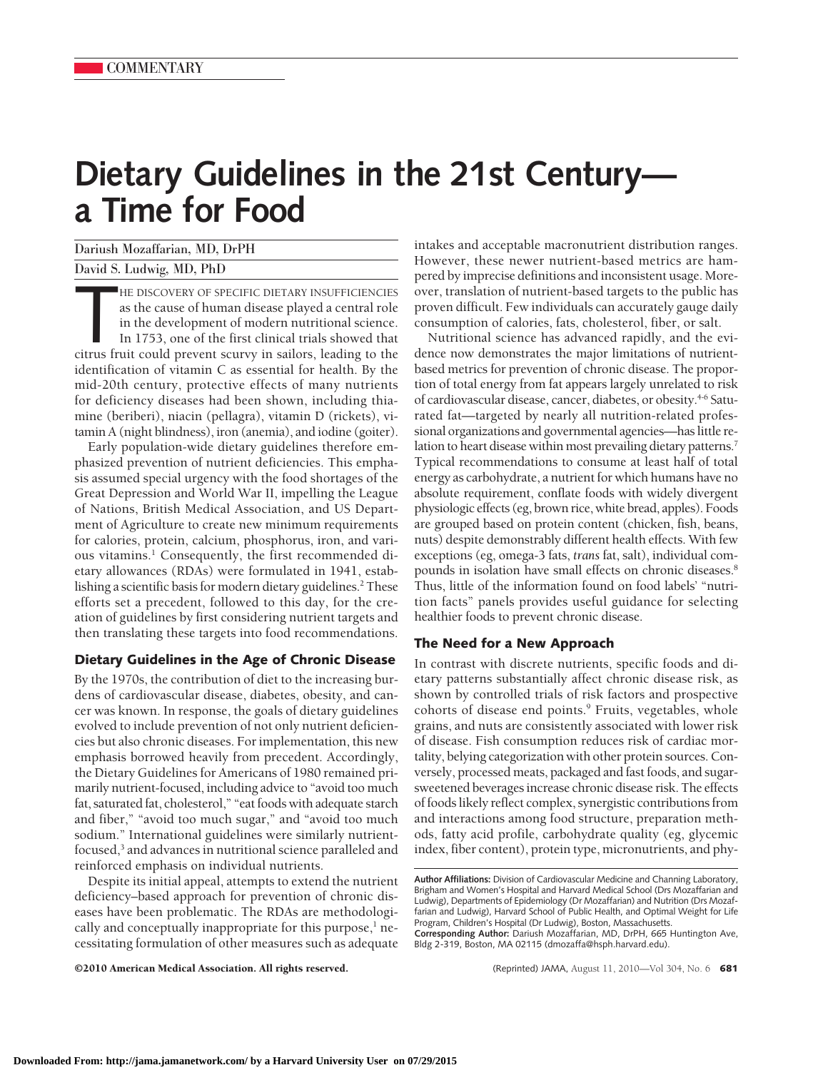# **Dietary Guidelines in the 21st Century a Time for Food**

## Dariush Mozaffarian, MD, DrPH David S. Ludwig, MD, PhD

HE DISCOVERY OF SPECIFIC DIETARY INSUFFICIENCIES<br>as the cause of human disease played a central role<br>in the development of modern nutritional science.<br>In 1753, one of the first clinical trials showed that<br>citrus fruit coul HE DISCOVERY OF SPECIFIC DIETARY INSUFFICIENCIES as the cause of human disease played a central role in the development of modern nutritional science. In 1753, one of the first clinical trials showed that identification of vitamin C as essential for health. By the mid-20th century, protective effects of many nutrients for deficiency diseases had been shown, including thiamine (beriberi), niacin (pellagra), vitamin D (rickets), vitamin A (night blindness), iron (anemia), and iodine (goiter).

Early population-wide dietary guidelines therefore emphasized prevention of nutrient deficiencies. This emphasis assumed special urgency with the food shortages of the Great Depression and World War II, impelling the League of Nations, British Medical Association, and US Department of Agriculture to create new minimum requirements for calories, protein, calcium, phosphorus, iron, and various vitamins.1 Consequently, the first recommended dietary allowances (RDAs) were formulated in 1941, establishing a scientific basis for modern dietary guidelines.<sup>2</sup> These efforts set a precedent, followed to this day, for the creation of guidelines by first considering nutrient targets and then translating these targets into food recommendations.

#### **Dietary Guidelines in the Age of Chronic Disease**

By the 1970s, the contribution of diet to the increasing burdens of cardiovascular disease, diabetes, obesity, and cancer was known. In response, the goals of dietary guidelines evolved to include prevention of not only nutrient deficiencies but also chronic diseases. For implementation, this new emphasis borrowed heavily from precedent. Accordingly, the Dietary Guidelines for Americans of 1980 remained primarily nutrient-focused, including advice to "avoid too much fat, saturated fat, cholesterol," "eat foods with adequate starch and fiber," "avoid too much sugar," and "avoid too much sodium." International guidelines were similarly nutrientfocused,<sup>3</sup> and advances in nutritional science paralleled and reinforced emphasis on individual nutrients.

Despite its initial appeal, attempts to extend the nutrient deficiency–based approach for prevention of chronic diseases have been problematic. The RDAs are methodologically and conceptually inappropriate for this purpose, $<sup>1</sup>$  ne-</sup> cessitating formulation of other measures such as adequate

intakes and acceptable macronutrient distribution ranges. However, these newer nutrient-based metrics are hampered by imprecise definitions and inconsistent usage. Moreover, translation of nutrient-based targets to the public has proven difficult. Few individuals can accurately gauge daily consumption of calories, fats, cholesterol, fiber, or salt.

Nutritional science has advanced rapidly, and the evidence now demonstrates the major limitations of nutrientbased metrics for prevention of chronic disease. The proportion of total energy from fat appears largely unrelated to risk of cardiovascular disease, cancer, diabetes, or obesity.4-6 Saturated fat—targeted by nearly all nutrition-related professional organizations and governmental agencies—has little relation to heart disease within most prevailing dietary patterns.<sup>7</sup> Typical recommendations to consume at least half of total energy as carbohydrate, a nutrient for which humans have no absolute requirement, conflate foods with widely divergent physiologic effects (eg, brown rice, white bread, apples). Foods are grouped based on protein content (chicken, fish, beans, nuts) despite demonstrably different health effects. With few exceptions (eg, omega-3 fats, *trans* fat, salt), individual compounds in isolation have small effects on chronic diseases.<sup>8</sup> Thus, little of the information found on food labels' "nutrition facts" panels provides useful guidance for selecting healthier foods to prevent chronic disease.

### **The Need for a New Approach**

In contrast with discrete nutrients, specific foods and dietary patterns substantially affect chronic disease risk, as shown by controlled trials of risk factors and prospective cohorts of disease end points.<sup>9</sup> Fruits, vegetables, whole grains, and nuts are consistently associated with lower risk of disease. Fish consumption reduces risk of cardiac mortality, belying categorization with other protein sources. Conversely, processed meats, packaged and fast foods, and sugarsweetened beverages increase chronic disease risk. The effects of foods likely reflect complex, synergistic contributions from and interactions among food structure, preparation methods, fatty acid profile, carbohydrate quality (eg, glycemic index, fiber content), protein type, micronutrients, and phy-

©2010 American Medical Association. All rights reserved. (Reprinted) JAMA, August 11, 2010—Vol 304, No. 6 **681**

**Author Affiliations:** Division of Cardiovascular Medicine and Channing Laboratory, Brigham and Women's Hospital and Harvard Medical School (Drs Mozaffarian and Ludwig), Departments of Epidemiology (Dr Mozaffarian) and Nutrition (Drs Mozaf-farian and Ludwig), Harvard School of Public Health, and Optimal Weight for Life Program, Children's Hospital (Dr Ludwig), Boston, Massachusetts.

**Corresponding Author:** Dariush Mozaffarian, MD, DrPH, 665 Huntington Ave, Bldg 2-319, Boston, MA 02115 (dmozaffa@hsph.harvard.edu).